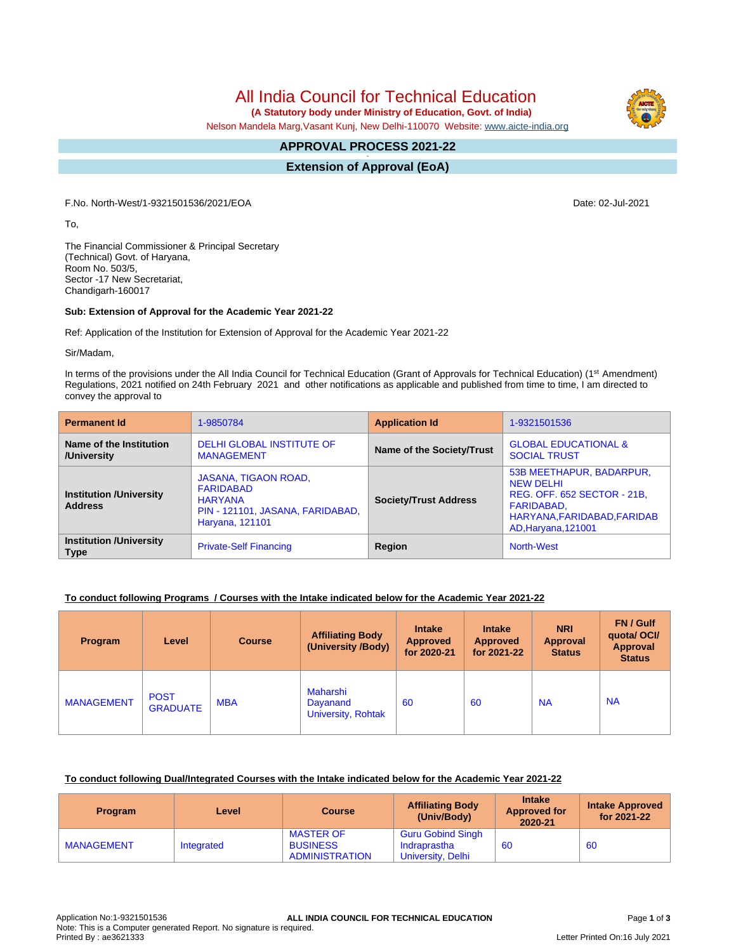All India Council for Technical Education

 **(A Statutory body under Ministry of Education, Govt. of India)**

Nelson Mandela Marg,Vasant Kunj, New Delhi-110070 Website: [www.aicte-india.org](http://www.aicte-india.org)

#### **APPROVAL PROCESS 2021-22 -**

**Extension of Approval (EoA)**

F.No. North-West/1-9321501536/2021/EOA Date: 02-Jul-2021

To,

The Financial Commissioner & Principal Secretary (Technical) Govt. of Haryana, Room No. 503/5, Sector -17 New Secretariat, Chandigarh-160017

### **Sub: Extension of Approval for the Academic Year 2021-22**

Ref: Application of the Institution for Extension of Approval for the Academic Year 2021-22

Sir/Madam,

In terms of the provisions under the All India Council for Technical Education (Grant of Approvals for Technical Education) (1<sup>st</sup> Amendment) Regulations, 2021 notified on 24th February 2021 and other notifications as applicable and published from time to time, I am directed to convey the approval to

| <b>Permanent Id</b>                              | 1-9850784                                                                                                         | <b>Application Id</b>        | 1-9321501536                                                                                                                                    |  |
|--------------------------------------------------|-------------------------------------------------------------------------------------------------------------------|------------------------------|-------------------------------------------------------------------------------------------------------------------------------------------------|--|
| Name of the Institution<br>/University           | DELHI GLOBAL INSTITUTE OF<br><b>MANAGEMENT</b>                                                                    | Name of the Society/Trust    | <b>GLOBAL EDUCATIONAL &amp;</b><br><b>SOCIAL TRUST</b>                                                                                          |  |
| <b>Institution /University</b><br><b>Address</b> | JASANA, TIGAON ROAD,<br><b>FARIDABAD</b><br><b>HARYANA</b><br>PIN - 121101, JASANA, FARIDABAD,<br>Haryana, 121101 | <b>Society/Trust Address</b> | 53B MEETHAPUR, BADARPUR,<br><b>NEW DELHI</b><br>REG. OFF. 652 SECTOR - 21B.<br>FARIDABAD,<br>HARYANA, FARIDABAD, FARIDAB<br>AD, Haryana, 121001 |  |
| <b>Institution /University</b><br><b>Type</b>    | <b>Private-Self Financing</b>                                                                                     | Region                       | <b>North-West</b>                                                                                                                               |  |

### **To conduct following Programs / Courses with the Intake indicated below for the Academic Year 2021-22**

| Program           | Level                          | <b>Course</b> | <b>Affiliating Body</b><br>(University /Body)            | <b>Intake</b><br><b>Approved</b><br>for 2020-21 | <b>Intake</b><br><b>Approved</b><br>for 2021-22 | <b>NRI</b><br>Approval<br><b>Status</b> | FN / Gulf<br>quotal OCI/<br>Approval<br><b>Status</b> |
|-------------------|--------------------------------|---------------|----------------------------------------------------------|-------------------------------------------------|-------------------------------------------------|-----------------------------------------|-------------------------------------------------------|
| <b>MANAGEMENT</b> | <b>POST</b><br><b>GRADUATE</b> | <b>MBA</b>    | <b>Maharshi</b><br>Dayanand<br><b>University, Rohtak</b> | 60                                              | 60                                              | <b>NA</b>                               | <b>NA</b>                                             |

#### **To conduct following Dual/Integrated Courses with the Intake indicated below for the Academic Year 2021-22**

| <b>Program</b>    | Level      | <b>Course</b>                                                | <b>Affiliating Body</b><br>(Univ/Body)                        | <b>Intake</b><br><b>Approved for</b><br>2020-21 | <b>Intake Approved</b><br>for 2021-22 |
|-------------------|------------|--------------------------------------------------------------|---------------------------------------------------------------|-------------------------------------------------|---------------------------------------|
| <b>MANAGEMENT</b> | Integrated | <b>MASTER OF</b><br><b>BUSINESS</b><br><b>ADMINISTRATION</b> | <b>Guru Gobind Singh</b><br>Indraprastha<br>University, Delhi | 60                                              | 60                                    |

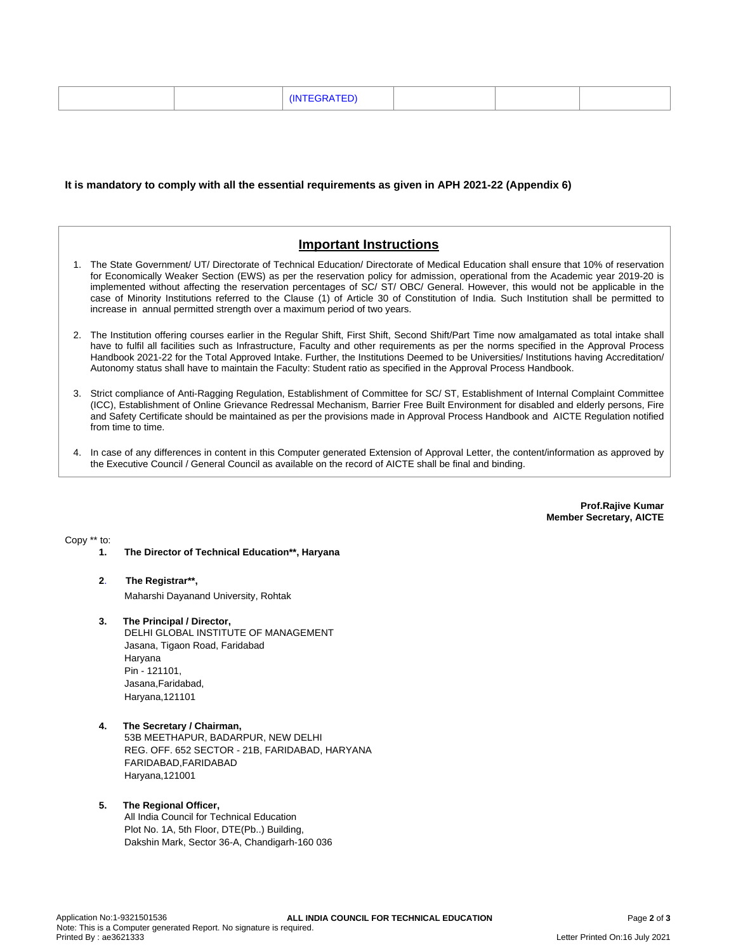|--|--|--|

#### **It is mandatory to comply with all the essential requirements as given in APH 2021-22 (Appendix 6)**

# **Important Instructions**

- 1. The State Government/ UT/ Directorate of Technical Education/ Directorate of Medical Education shall ensure that 10% of reservation for Economically Weaker Section (EWS) as per the reservation policy for admission, operational from the Academic year 2019-20 is implemented without affecting the reservation percentages of SC/ ST/ OBC/ General. However, this would not be applicable in the case of Minority Institutions referred to the Clause (1) of Article 30 of Constitution of India. Such Institution shall be permitted to increase in annual permitted strength over a maximum period of two years.
- 2. The Institution offering courses earlier in the Regular Shift, First Shift, Second Shift/Part Time now amalgamated as total intake shall have to fulfil all facilities such as Infrastructure, Faculty and other requirements as per the norms specified in the Approval Process Handbook 2021-22 for the Total Approved Intake. Further, the Institutions Deemed to be Universities/ Institutions having Accreditation/ Autonomy status shall have to maintain the Faculty: Student ratio as specified in the Approval Process Handbook.
- 3. Strict compliance of Anti-Ragging Regulation, Establishment of Committee for SC/ ST, Establishment of Internal Complaint Committee (ICC), Establishment of Online Grievance Redressal Mechanism, Barrier Free Built Environment for disabled and elderly persons, Fire and Safety Certificate should be maintained as per the provisions made in Approval Process Handbook and AICTE Regulation notified from time to time.
- 4. In case of any differences in content in this Computer generated Extension of Approval Letter, the content/information as approved by the Executive Council / General Council as available on the record of AICTE shall be final and binding.

**Prof.Rajive Kumar Member Secretary, AICTE**

Copy \*\* to:

- **1. The Director of Technical Education\*\*, Haryana**
- **2**. **The Registrar\*\*,** Maharshi Dayanand University, Rohtak
- **3. The Principal / Director,** DELHI GLOBAL INSTITUTE OF MANAGEMENT Jasana, Tigaon Road, Faridabad Haryana Pin - 121101, Jasana,Faridabad, Haryana,121101
- **4. The Secretary / Chairman,** 53B MEETHAPUR, BADARPUR, NEW DELHI REG. OFF. 652 SECTOR - 21B, FARIDABAD, HARYANA FARIDABAD,FARIDABAD Haryana,121001

#### **5. The Regional Officer,** All India Council for Technical Education Plot No. 1A, 5th Floor, DTE(Pb..) Building, Dakshin Mark, Sector 36-A, Chandigarh-160 036